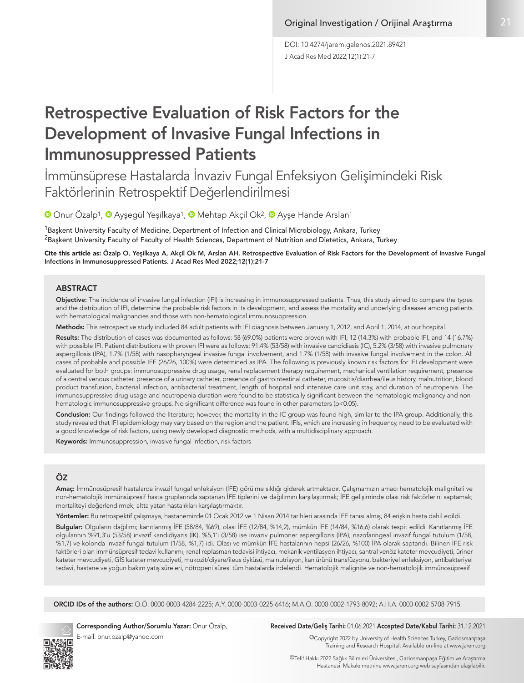J Acad Res Med 2022;12(1):21-7 DOI: 10.4274/jarem.galenos.2021.89421

# Retrospective Evaluation of Risk Factors for the Development of Invasive Fungal Infections in Immunosuppressed Patients

İmmünsüprese Hastalarda İnvaziv Fungal Enfeksiyon Gelişimindeki Risk Faktörlerinin Retrospektif Değerlendirilmesi

<sup>■</sup>Onur Özalp<sup>1</sup>, <sup>■</sup> [A](https://orcid.org/0000-0002-5708-7915)yşegül Yeşilkaya<sup>1</sup>, ■ Mehtap Akçil Ok<sup>2</sup>, ■ Ayşe Hande Arslan<sup>1</sup>

 $^{\rm 1}$ Başkent University Faculty of Medicine, Department of Infection and Clinical Microbiology, Ankara, Turkey <sup>2</sup>Başkent University Faculty of Faculty of Health Sciences, Department of Nutrition and Dietetics, Ankara, Turkey

Cite this article as: Özalp O, Yeşilkaya A, Akçil Ok M, Arslan AH. Retrospective Evaluation of Risk Factors for the Development of Invasive Fungal Infections in Immunosuppressed Patients. J Acad Res Med 2022;12(1):21-7

## ABSTRACT

Objective: The incidence of invasive fungal infection (IFI) is increasing in immunosuppressed patients. Thus, this study aimed to compare the types and the distribution of IFI, determine the probable risk factors in its development, and assess the mortality and underlying diseases among patients with hematological malignancies and those with non-hematological immunosuppression.

Methods: This retrospective study included 84 adult patients with IFI diagnosis between January 1, 2012, and April 1, 2014, at our hospital.

Results: The distribution of cases was documented as follows: 58 (69.0%) patients were proven with IFI, 12 (14.3%) with probable IFI, and 14 (16.7%) with possible IFI. Patient distributions with proven IFI were as follows: 91.4% (53/58) with invasive candidiasis (IC), 5.2% (3/58) with invasive pulmonary aspergillosis (IPA), 1.7% (1/58) with nasopharyngeal invasive fungal involvement, and 1.7% (1/58) with invasive fungal involvement in the colon. All cases of probable and possible IFE (26/26, 100%) were determined as IPA. The following is previously known risk factors for IFI development were evaluated for both groups: immunosuppressive drug usage, renal replacement therapy requirement, mechanical ventilation requirement, presence of a central venous catheter, presence of a urinary catheter, presence of gastrointestinal catheter, mucositis/diarrhea/ileus history, malnutrition, blood product transfusion, bacterial infection, antibacterial treatment, length of hospital and intensive care unit stay, and duration of neutropenia. The immunosuppressive drug usage and neutropenia duration were found to be statistically significant between the hematologic malignancy and nonhematologic immunosuppressive groups. No significant difference was found in other parameters (p<0.05).

Conclusion: Our findings followed the literature; however, the mortality in the IC group was found high, similar to the IPA group. Additionally, this study revealed that IFI epidemiology may vary based on the region and the patient. IFIs, which are increasing in frequency, need to be evaluated with a good knowledge of risk factors, using newly developed diagnostic methods, with a multidisciplinary approach.

Keywords: Immunosuppression, invasive fungal infection, risk factors

# ÖZ

Amaç: İmmünosüpresif hastalarda invazif fungal enfeksiyon (İFE) görülme sıklığı giderek artmaktadır. Çalışmamızın amacı hematolojik maligniteli ve non-hematolojik immünsüpresif hasta gruplarında saptanan İFE tiplerini ve dağılımını karşılaştırmak; İFE gelişiminde olası risk faktörlerini saptamak; mortaliteyi değerlendirmek; altta yatan hastalıkları karşılaştırmaktır.

Yöntemler: Bu retrospektif çalışmaya, hastanemizde 01 Ocak 2012 ve 1 Nisan 2014 tarihleri arasında İFE tanısı almış, 84 erişkin hasta dahil edildi.

Bulgular: Olguların dağılımı; kanıtlanmış İFE (58/84, %69), olası İFE (12/84, %14,2), mümkün İFE (14/84, %16,6) olarak tespit edildi. Kanıtlanmış İFE olgularının %91,3'ü (53/58) invazif kandidiyazis (İK), %5,1'i (3/58) ise invaziv pulmoner aspergillozis (İPA), nazofaringeal invazif fungal tutulum (1/58, %1,7) ve kolonda invazif fungal tutulum (1/58, %1,7) idi. Olası ve mümkün İFE hastalarının hepsi (26/26, %100) İPA olarak saptandı. Bilinen İFE risk faktörleri olan immünsüpresif tedavi kullanımı, renal replasman tedavisi ihtiyacı, mekanik ventilasyon ihtiyacı, santral venöz kateter mevcudiyeti, üriner kateter mevcudiyeti, GİS kateter mevcudiyeti, mukozit/diyare/ileus öyküsü, malnutrisyon, kan ürünü transfüzyonu, bakteriyel enfeksiyon, antibakteriyel tedavi, hastane ve yoğun bakım yatış süreleri, nötropeni süresi tüm hastalarda irdelendi. Hematolojik malignite ve non-hematolojik immünosüpresif

ORCID IDs of the authors: O.Ö. 0000-0003-4284-2225; A.Y. 0000-0003-0225-6416; M.A.O. 0000-0002-1793-8092; A.H.A. 0000-0002-5708-7915.



Corresponding Author/Sorumlu Yazar: Onur Özalp, E-mail: onur.ozalp@yahoo.com

## Received Date/Geliş Tarihi: 01.06.2021 Accepted Date/Kabul Tarihi: 31.12.2021

©Copyright 2022 by University of Health Sciences Turkey, Gaziosmanpaşa Training and Research Hospital. Available on-line at www.jarem.org

©Telif Hakkı 2022 Sağlık Bilimleri Üniversitesi, Gaziosmanpaşa Eğitim ve Araştırma Hastanesi. Makale metnine www.jarem.org web sayfasından ulaşılabilir.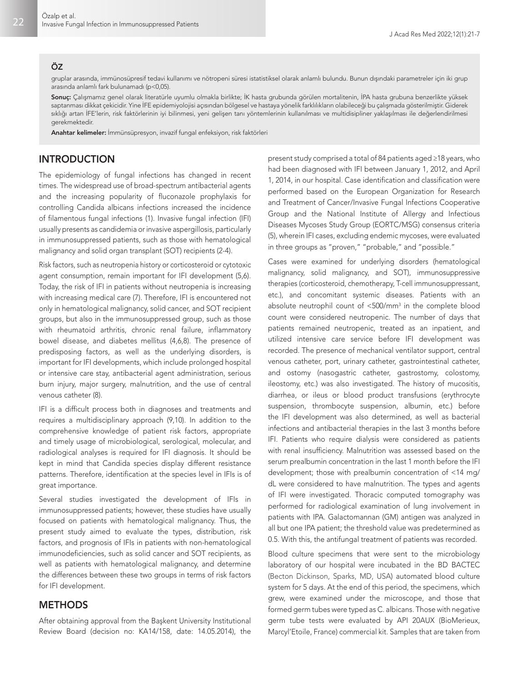#### ÖZ

gruplar arasında, immünosüpresif tedavi kullanımı ve nötropeni süresi istatistiksel olarak anlamlı bulundu. Bunun dışındaki parametreler için iki grup arasında anlamlı fark bulunamadı (p<0,05).

Sonuç: Çalışmamız genel olarak literatürle uyumlu olmakla birlikte; İK hasta grubunda görülen mortalitenin, İPA hasta grubuna benzerlikte yüksek saptanması dikkat çekicidir. Yine İFE epidemiyolojisi açısından bölgesel ve hastaya yönelik farklılıkların olabileceği bu çalışmada gösterilmiştir. Giderek sıklığı artan İFE'lerin, risk faktörlerinin iyi bilinmesi, yeni gelişen tanı yöntemlerinin kullanılması ve multidisipliner yaklaşılması ile değerlendirilmesi gerekmektedir.

Anahtar kelimeler: İmmünsüpresyon, invazif fungal enfeksiyon, risk faktörleri

# INTRODUCTION

The epidemiology of fungal infections has changed in recent times. The widespread use of broad-spectrum antibacterial agents and the increasing popularity of fluconazole prophylaxis for controlling Candida albicans infections increased the incidence of filamentous fungal infections (1). Invasive fungal infection (IFI) usually presents as candidemia or invasive aspergillosis, particularly in immunosuppressed patients, such as those with hematological malignancy and solid organ transplant (SOT) recipients (2-4).

Risk factors, such as neutropenia history or corticosteroid or cytotoxic agent consumption, remain important for IFI development (5,6). Today, the risk of IFI in patients without neutropenia is increasing with increasing medical care (7). Therefore, IFI is encountered not only in hematological malignancy, solid cancer, and SOT recipient groups, but also in the immunosuppressed group, such as those with rheumatoid arthritis, chronic renal failure, inflammatory bowel disease, and diabetes mellitus (4,6,8). The presence of predisposing factors, as well as the underlying disorders, is important for IFI developments, which include prolonged hospital or intensive care stay, antibacterial agent administration, serious burn injury, major surgery, malnutrition, and the use of central venous catheter (8).

IFI is a difficult process both in diagnoses and treatments and requires a multidisciplinary approach (9,10). In addition to the comprehensive knowledge of patient risk factors, appropriate and timely usage of microbiological, serological, molecular, and radiological analyses is required for IFI diagnosis. It should be kept in mind that Candida species display different resistance patterns. Therefore, identification at the species level in IFIs is of great importance.

Several studies investigated the development of IFIs in immunosuppressed patients; however, these studies have usually focused on patients with hematological malignancy. Thus, the present study aimed to evaluate the types, distribution, risk factors, and prognosis of IFIs in patients with non-hematological immunodeficiencies, such as solid cancer and SOT recipients, as well as patients with hematological malignancy, and determine the differences between these two groups in terms of risk factors for IFI development.

## **METHODS**

After obtaining approval from the Başkent University Institutional Review Board (decision no: KA14/158, date: 14.05.2014), the

present study comprised a total of 84 patients aged ≥18 years, who had been diagnosed with IFI between January 1, 2012, and April 1, 2014, in our hospital. Case identification and classification were performed based on the European Organization for Research and Treatment of Cancer/Invasive Fungal Infections Cooperative Group and the National Institute of Allergy and Infectious Diseases Mycoses Study Group (EORTC/MSG) consensus criteria (5), wherein IFI cases, excluding endemic mycoses, were evaluated in three groups as "proven," "probable," and "possible."

Cases were examined for underlying disorders (hematological malignancy, solid malignancy, and SOT), immunosuppressive therapies (corticosteroid, chemotherapy, T-cell immunosuppressant, etc.), and concomitant systemic diseases. Patients with an absolute neutrophil count of <500/mm3 in the complete blood count were considered neutropenic. The number of days that patients remained neutropenic, treated as an inpatient, and utilized intensive care service before IFI development was recorded. The presence of mechanical ventilator support, central venous catheter, port, urinary catheter, gastrointestinal catheter, and ostomy (nasogastric catheter, gastrostomy, colostomy, ileostomy, etc.) was also investigated. The history of mucositis, diarrhea, or ileus or blood product transfusions (erythrocyte suspension, thrombocyte suspension, albumin, etc.) before the IFI development was also determined, as well as bacterial infections and antibacterial therapies in the last 3 months before IFI. Patients who require dialysis were considered as patients with renal insufficiency. Malnutrition was assessed based on the serum prealbumin concentration in the last 1 month before the IFI development; those with prealbumin concentration of <14 mg/ dL were considered to have malnutrition. The types and agents of IFI were investigated. Thoracic computed tomography was performed for radiological examination of lung involvement in patients with IPA. Galactomannan (GM) antigen was analyzed in all but one IPA patient; the threshold value was predetermined as 0.5. With this, the antifungal treatment of patients was recorded.

Blood culture specimens that were sent to the microbiology laboratory of our hospital were incubated in the BD BACTEC (Becton Dickinson, Sparks, MD, USA) automated blood culture system for 5 days. At the end of this period, the specimens, which grew, were examined under the microscope, and those that formed germ tubes were typed as C. albicans. Those with negative germ tube tests were evaluated by API 20AUX (BioMerieux, Marcyl'Etoile, France) commercial kit. Samples that are taken from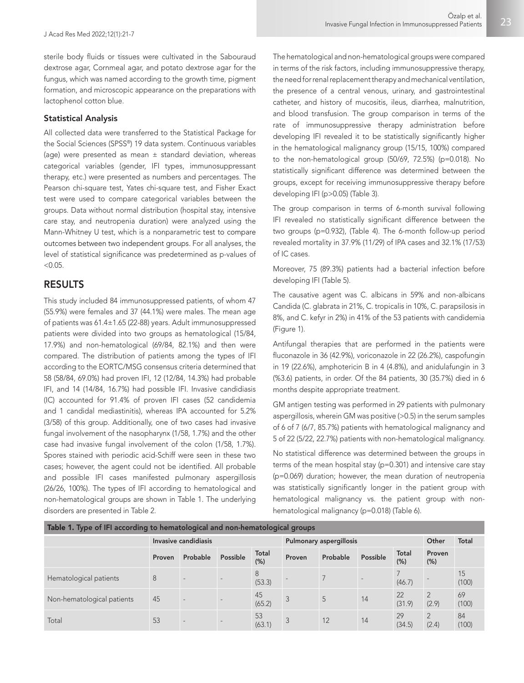sterile body fluids or tissues were cultivated in the Sabouraud dextrose agar, Cornmeal agar, and potato dextrose agar for the fungus, which was named according to the growth time, pigment formation, and microscopic appearance on the preparations with lactophenol cotton blue.

## Statistical Analysis

All collected data were transferred to the Statistical Package for the Social Sciences (SPSS®) 19 data system. Continuous variables (age) were presented as mean  $\pm$  standard deviation, whereas categorical variables (gender, IFI types, immunosuppressant therapy, etc.) were presented as numbers and percentages. The Pearson chi-square test, Yates chi-square test, and Fisher Exact test were used to compare categorical variables between the groups. Data without normal distribution (hospital stay, intensive care stay, and neutropenia duration) were analyzed using the Mann-Whitney U test, which is a nonparametric test to compare outcomes between two independent groups. For all analyses, the level of statistical significance was predetermined as p-values of  $< 0.05$ .

## RESULTS

This study included 84 immunosuppressed patients, of whom 47 (55.9%) were females and 37 (44.1%) were males. The mean age of patients was 61.4±1.65 (22-88) years. Adult immunosuppressed patients were divided into two groups as hematological (15/84, 17.9%) and non-hematological (69/84, 82.1%) and then were compared. The distribution of patients among the types of IFI according to the EORTC/MSG consensus criteria determined that 58 (58/84, 69.0%) had proven IFI, 12 (12/84, 14.3%) had probable IFI, and 14 (14/84, 16.7%) had possible IFI. Invasive candidiasis (IC) accounted for 91.4% of proven IFI cases (52 candidemia and 1 candidal mediastinitis), whereas IPA accounted for 5.2% (3/58) of this group. Additionally, one of two cases had invasive fungal involvement of the nasopharynx (1/58, 1.7%) and the other case had invasive fungal involvement of the colon (1/58, 1.7%). Spores stained with periodic acid-Schiff were seen in these two cases; however, the agent could not be identified. All probable and possible IFI cases manifested pulmonary aspergillosis (26/26, 100%). The types of IFI according to hematological and non-hematological groups are shown in Table 1. The underlying disorders are presented in Table 2.

The hematological and non-hematological groups were compared in terms of the risk factors, including immunosuppressive therapy, the need for renal replacement therapy and mechanical ventilation, the presence of a central venous, urinary, and gastrointestinal catheter, and history of mucositis, ileus, diarrhea, malnutrition, and blood transfusion. The group comparison in terms of the rate of immunosuppressive therapy administration before developing IFI revealed it to be statistically significantly higher in the hematological malignancy group (15/15, 100%) compared to the non-hematological group (50/69, 72.5%) (p=0.018). No statistically significant difference was determined between the groups, except for receiving immunosuppressive therapy before developing IFI (p>0.05) (Table 3).

The group comparison in terms of 6-month survival following IFI revealed no statistically significant difference between the two groups (p=0.932), (Table 4). The 6-month follow-up period revealed mortality in 37.9% (11/29) of IPA cases and 32.1% (17/53) of IC cases.

Moreover, 75 (89.3%) patients had a bacterial infection before developing IFI (Table 5).

The causative agent was C. albicans in 59% and non-albicans Candida (C. glabrata in 21%, C. tropicalis in 10%, C. parapsilosis in 8%, and C. kefyr in 2%) in 41% of the 53 patients with candidemia (Figure 1).

Antifungal therapies that are performed in the patients were fluconazole in 36 (42.9%), voriconazole in 22 (26.2%), caspofungin in 19 (22.6%), amphotericin B in 4 (4.8%), and anidulafungin in 3 (%3.6) patients, in order. Of the 84 patients, 30 (35.7%) died in 6 months despite appropriate treatment.

GM antigen testing was performed in 29 patients with pulmonary aspergillosis, wherein GM was positive (>0.5) in the serum samples of 6 of 7 (6/7, 85.7%) patients with hematological malignancy and 5 of 22 (5/22, 22.7%) patients with non-hematological malignancy.

No statistical difference was determined between the groups in terms of the mean hospital stay (p=0.301) and intensive care stay (p=0.069) duration; however, the mean duration of neutropenia was statistically significantly longer in the patient group with hematological malignancy vs. the patient group with nonhematological malignancy (p=0.018) (Table 6).

| Table 1. Type of IFI according to hematological and non-hematological groups |        |                          |          |               |                                |          |          |               |                         |             |  |
|------------------------------------------------------------------------------|--------|--------------------------|----------|---------------|--------------------------------|----------|----------|---------------|-------------------------|-------------|--|
|                                                                              |        | Invasive candidiasis     |          |               | <b>Pulmonary aspergillosis</b> |          | Other    | <b>Total</b>  |                         |             |  |
|                                                                              | Proven | Probable                 | Possible | Total<br>(% ) | Proven                         | Probable | Possible | Total<br>(% ) | Proven<br>$(\%)$        |             |  |
| Hematological patients                                                       | 8      | $\overline{\phantom{a}}$ |          | 8<br>(53.3)   |                                |          |          | (46.7)        |                         | 15<br>(100) |  |
| Non-hematological patients                                                   | 45     |                          |          | 45<br>(65.2)  | 3                              | 5        | 14       | 22<br>(31.9)  | $\overline{2}$<br>(2.9) | 69<br>(100) |  |
| Total                                                                        | 53     |                          |          | 53<br>(63.1)  | 3                              | 12       | 14       | 29<br>(34.5)  | $\overline{2}$<br>(2.4) | 84<br>(100) |  |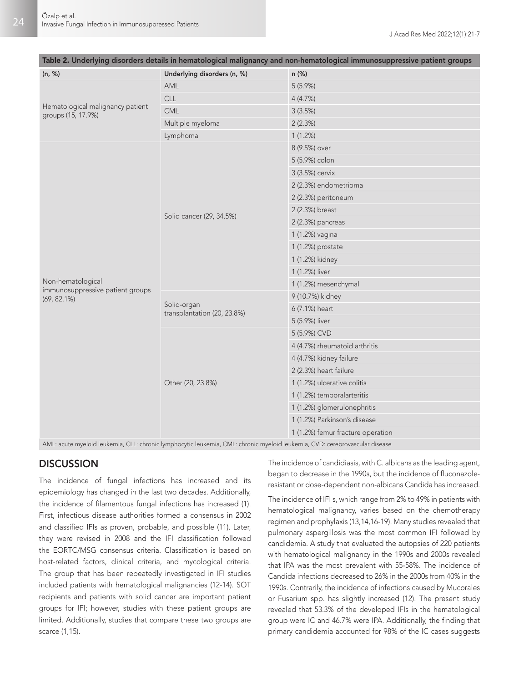|                                                        |                                            | iable 2. Onderlying disorders details in hematological manghancy and non-hematological immunosupplessive patient groups |
|--------------------------------------------------------|--------------------------------------------|-------------------------------------------------------------------------------------------------------------------------|
| (n, %)                                                 | Underlying disorders (n, %)                | n (%)                                                                                                                   |
|                                                        | AML                                        | 5(5.9%)                                                                                                                 |
|                                                        | <b>CLL</b>                                 | 4(4.7%)                                                                                                                 |
| Hematological malignancy patient<br>groups (15, 17.9%) | CML                                        | 3(3.5%)                                                                                                                 |
|                                                        | Multiple myeloma                           | 2(2.3%)                                                                                                                 |
|                                                        | Lymphoma                                   | 1(1.2%)                                                                                                                 |
|                                                        |                                            | 8 (9.5%) over                                                                                                           |
|                                                        |                                            | 5 (5.9%) colon                                                                                                          |
|                                                        |                                            | 3 (3.5%) cervix                                                                                                         |
|                                                        |                                            | 2 (2.3%) endometrioma                                                                                                   |
|                                                        |                                            | 2 (2.3%) peritoneum                                                                                                     |
|                                                        |                                            | 2 (2.3%) breast                                                                                                         |
|                                                        | Solid cancer (29, 34.5%)                   | 2 (2.3%) pancreas                                                                                                       |
|                                                        |                                            | 1 (1.2%) vagina                                                                                                         |
|                                                        |                                            | 1 (1.2%) prostate                                                                                                       |
|                                                        |                                            | 1 (1.2%) kidney                                                                                                         |
|                                                        |                                            | 1 (1.2%) liver                                                                                                          |
| Non-hematological                                      |                                            | 1 (1.2%) mesenchymal                                                                                                    |
| immunosuppressive patient groups<br>$(69, 82.1\%)$     |                                            | 9 (10.7%) kidney                                                                                                        |
|                                                        | Solid-organ<br>transplantation (20, 23.8%) | 6 (7.1%) heart                                                                                                          |
|                                                        |                                            | 5 (5.9%) liver                                                                                                          |
|                                                        |                                            | 5 (5.9%) CVD                                                                                                            |
|                                                        |                                            | 4 (4.7%) rheumatoid arthritis                                                                                           |
|                                                        |                                            | 4 (4.7%) kidney failure                                                                                                 |
|                                                        |                                            | 2 (2.3%) heart failure                                                                                                  |
|                                                        | Other (20, 23.8%)                          | 1 (1.2%) ulcerative colitis                                                                                             |
|                                                        |                                            | 1 (1.2%) temporalarteritis                                                                                              |
|                                                        |                                            | 1 (1.2%) glomerulonephritis                                                                                             |
|                                                        |                                            | 1 (1.2%) Parkinson's disease                                                                                            |
|                                                        |                                            | 1 (1.2%) femur fracture operation                                                                                       |
| $1 \cdot 11 \cdot 1 \cdot 1$ $21 \cdot 1$              |                                            | $1 \cdot 11 \cdot 1 \cdot 210 \cdot 1 \cdot 111$                                                                        |

| Table 2. Underlying disorders details in hematological malignancy and non-hematological immunosuppressive patient groups |  |  |  |
|--------------------------------------------------------------------------------------------------------------------------|--|--|--|
|                                                                                                                          |  |  |  |

AML: acute myeloid leukemia, CLL: chronic lymphocytic leukemia, CML: chronic myeloid leukemia, CVD: cerebrovascular disease

# **DISCUSSION**

The incidence of fungal infections has increased and its epidemiology has changed in the last two decades. Additionally, the incidence of filamentous fungal infections has increased (1). First, infectious disease authorities formed a consensus in 2002 and classified IFIs as proven, probable, and possible (11). Later, they were revised in 2008 and the IFI classification followed the EORTC/MSG consensus criteria. Classification is based on host-related factors, clinical criteria, and mycological criteria. The group that has been repeatedly investigated in IFI studies included patients with hematological malignancies (12-14). SOT recipients and patients with solid cancer are important patient groups for IFI; however, studies with these patient groups are limited. Additionally, studies that compare these two groups are scarce (1,15).

The incidence of candidiasis, with C. albicans as the leading agent, began to decrease in the 1990s, but the incidence of fluconazoleresistant or dose-dependent non-albicans Candida has increased.

The incidence of IFI s, which range from 2% to 49% in patients with hematological malignancy, varies based on the chemotherapy regimen and prophylaxis (13,14,16-19). Many studies revealed that pulmonary aspergillosis was the most common IFI followed by candidemia. A study that evaluated the autopsies of 220 patients with hematological malignancy in the 1990s and 2000s revealed that IPA was the most prevalent with 55-58%. The incidence of Candida infections decreased to 26% in the 2000s from 40% in the 1990s. Contrarily, the incidence of infections caused by Mucorales or Fusarium spp. has slightly increased (12). The present study revealed that 53.3% of the developed IFIs in the hematological group were IC and 46.7% were IPA. Additionally, the finding that primary candidemia accounted for 98% of the IC cases suggests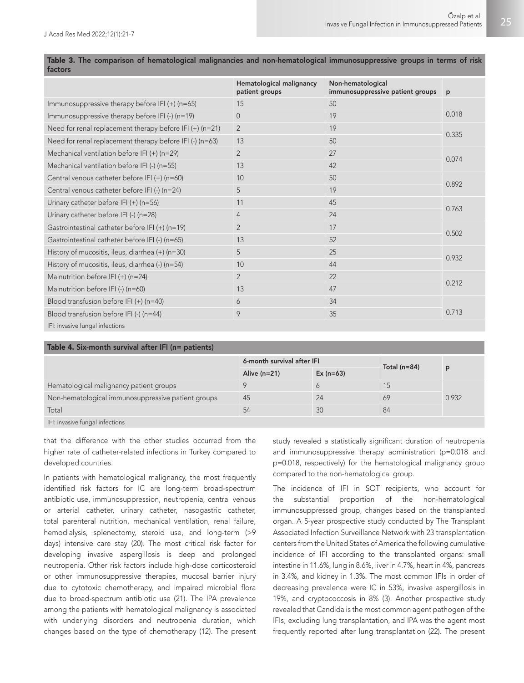| .                                                        |                                            |                                                       |       |
|----------------------------------------------------------|--------------------------------------------|-------------------------------------------------------|-------|
|                                                          | Hematological malignancy<br>patient groups | Non-hematological<br>immunosuppressive patient groups | p     |
| Immunosuppressive therapy before IFI $(+)$ (n=65)        | 15                                         | 50                                                    |       |
| Immunosuppressive therapy before IFI (-) (n=19)          | $\Omega$                                   | 19                                                    | 0.018 |
| Need for renal replacement therapy before IFI (+) (n=21) | $\overline{2}$                             | 19                                                    | 0.335 |
| Need for renal replacement therapy before IFI (-) (n=63) | 13                                         | 50                                                    |       |
| Mechanical ventilation before IFI (+) (n=29)             | $\overline{2}$                             | 27                                                    | 0.074 |
| Mechanical ventilation before IFI (-) (n=55)             | 13                                         | 42                                                    |       |
| Central venous catheter before IFI (+) (n=60)            | 10                                         | 50                                                    |       |
| Central venous catheter before IFI (-) (n=24)            | 5                                          | 19                                                    | 0.892 |
| Urinary catheter before IFI $(+)$ (n=56)                 | 11                                         | 45                                                    | 0.763 |
| Urinary catheter before IFI (-) $(n=28)$                 | $\overline{4}$                             | 24                                                    |       |
| Gastrointestinal catheter before IFI (+) (n=19)          | $\overline{2}$                             | 17                                                    | 0.502 |
| Gastrointestinal catheter before IFI (-) (n=65)          | 13                                         | 52                                                    |       |
| History of mucositis, ileus, diarrhea $(+)$ (n=30)       | 5                                          | 25                                                    | 0.932 |
| History of mucositis, ileus, diarrhea (-) (n=54)         | 10                                         | 44                                                    |       |
| Malnutrition before IFI (+) (n=24)                       | $\overline{2}$                             | 22                                                    | 0.212 |
| Malnutrition before IFI (-) (n=60)                       | 13                                         | 47                                                    |       |
| Blood transfusion before IFI $(+)$ (n=40)                | 6                                          | 34                                                    |       |
| Blood transfusion before IFI (-) (n=44)                  | 9                                          | 35                                                    | 0.713 |
| TER to be a complete and the formation of                |                                            |                                                       |       |

Table 3. The comparison of hematological malignancies and non-hematological immunosuppressive groups in terms of risk factors

#### IFI: invasive fungal infections

| Table 4. Six-month survival after IFI (n= patients) |                            |             |                  |       |  |  |  |  |  |
|-----------------------------------------------------|----------------------------|-------------|------------------|-------|--|--|--|--|--|
|                                                     | 6-month survival after IFI |             |                  | p     |  |  |  |  |  |
|                                                     | Alive $(n=21)$             | $Ex (n=63)$ | Total ( $n=84$ ) |       |  |  |  |  |  |
| Hematological malignancy patient groups             |                            | 6           | 15               |       |  |  |  |  |  |
| Non-hematological immunosuppressive patient groups  | -45                        | 24          | 69               | 0.932 |  |  |  |  |  |
| Total                                               | 54                         | 30          | 84               |       |  |  |  |  |  |
| IFI: invasive fungal infections                     |                            |             |                  |       |  |  |  |  |  |

that the difference with the other studies occurred from the higher rate of catheter-related infections in Turkey compared to developed countries.

In patients with hematological malignancy, the most frequently identified risk factors for IC are long-term broad-spectrum antibiotic use, immunosuppression, neutropenia, central venous or arterial catheter, urinary catheter, nasogastric catheter, total parenteral nutrition, mechanical ventilation, renal failure, hemodialysis, splenectomy, steroid use, and long-term (>9 days) intensive care stay (20). The most critical risk factor for developing invasive aspergillosis is deep and prolonged neutropenia. Other risk factors include high-dose corticosteroid or other immunosuppressive therapies, mucosal barrier injury due to cytotoxic chemotherapy, and impaired microbial flora due to broad-spectrum antibiotic use (21). The IPA prevalence among the patients with hematological malignancy is associated with underlying disorders and neutropenia duration, which changes based on the type of chemotherapy (12). The present study revealed a statistically significant duration of neutropenia and immunosuppressive therapy administration (p=0.018 and p=0.018, respectively) for the hematological malignancy group compared to the non-hematological group.

The incidence of IFI in SOT recipients, who account for the substantial proportion of the non-hematological immunosuppressed group, changes based on the transplanted organ. A 5-year prospective study conducted by The Transplant Associated Infection Surveillance Network with 23 transplantation centers from the United States of America the following cumulative incidence of IFI according to the transplanted organs: small intestine in 11.6%, lung in 8.6%, liver in 4.7%, heart in 4%, pancreas in 3.4%, and kidney in 1.3%. The most common IFIs in order of decreasing prevalence were IC in 53%, invasive aspergillosis in 19%, and cryptococcosis in 8% (3). Another prospective study revealed that Candida is the most common agent pathogen of the IFIs, excluding lung transplantation, and IPA was the agent most frequently reported after lung transplantation (22). The present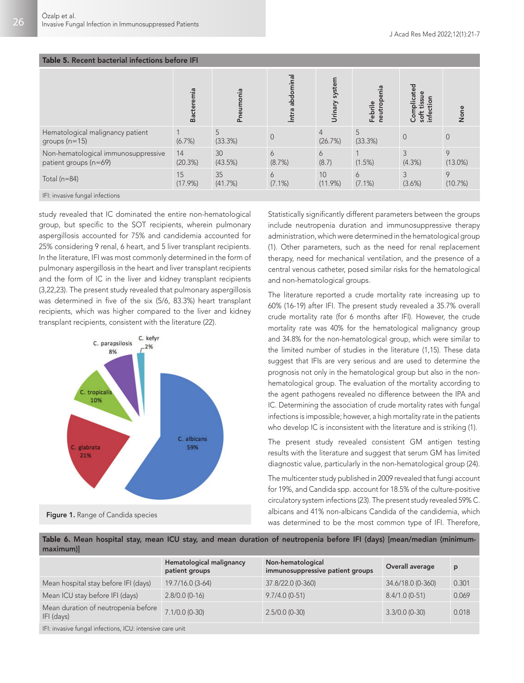| Table 5. Recent bacterial infections before IFI              |                  |               |                          |                           |                                |                                             |                 |  |  |  |
|--------------------------------------------------------------|------------------|---------------|--------------------------|---------------------------|--------------------------------|---------------------------------------------|-----------------|--|--|--|
|                                                              | Bacteremia       | Pneumonia     | abdomina<br>İntra        | system<br>Urinary         | enia<br>Ō<br>Febrile<br>neutro | Complicated<br>tissue<br>Ŧ<br>soft<br>infer | None            |  |  |  |
| Hematological malignancy patient<br>groups $(n=15)$          | (6.7%)           | 5<br>(33.3%)  | $\Omega$                 | $\overline{4}$<br>(26.7%) | 5<br>(33.3%)                   | $\overline{0}$                              | $\Omega$        |  |  |  |
| Non-hematological immunosuppressive<br>patient groups (n=69) | 14<br>(20.3%)    | 30<br>(43.5%) | $\overline{6}$<br>(8.7%) | 6<br>(8.7)                | (1.5%)                         | 3<br>(4.3%)                                 | 9<br>$(13.0\%)$ |  |  |  |
| Total ( $n=84$ )                                             | 15<br>$(17.9\%)$ | 35<br>(41.7%) | 6<br>$(7.1\%)$           | 10<br>$(11.9\%)$          | 6<br>$(7.1\%)$                 | 3<br>(3.6%)                                 | 9<br>(10.7%)    |  |  |  |
| IFI: invasive fungal infections                              |                  |               |                          |                           |                                |                                             |                 |  |  |  |

study revealed that IC dominated the entire non-hematological group, but specific to the SOT recipients, wherein pulmonary aspergillosis accounted for 75% and candidemia accounted for 25% considering 9 renal, 6 heart, and 5 liver transplant recipients. In the literature, IFI was most commonly determined in the form of pulmonary aspergillosis in the heart and liver transplant recipients and the form of IC in the liver and kidney transplant recipients (3,22,23). The present study revealed that pulmonary aspergillosis was determined in five of the six (5/6, 83.3%) heart transplant recipients, which was higher compared to the liver and kidney transplant recipients, consistent with the literature (22).



Statistically significantly different parameters between the groups include neutropenia duration and immunosuppressive therapy administration, which were determined in the hematological group (1). Other parameters, such as the need for renal replacement therapy, need for mechanical ventilation, and the presence of a central venous catheter, posed similar risks for the hematological and non-hematological groups.

The literature reported a crude mortality rate increasing up to 60% (16-19) after IFI. The present study revealed a 35.7% overall crude mortality rate (for 6 months after IFI). However, the crude mortality rate was 40% for the hematological malignancy group and 34.8% for the non-hematological group, which were similar to the limited number of studies in the literature (1,15). These data suggest that IFIs are very serious and are used to determine the prognosis not only in the hematological group but also in the nonhematological group. The evaluation of the mortality according to the agent pathogens revealed no difference between the IPA and IC. Determining the association of crude mortality rates with fungal infections is impossible; however, a high mortality rate in the patients who develop IC is inconsistent with the literature and is striking (1).

The present study revealed consistent GM antigen testing results with the literature and suggest that serum GM has limited diagnostic value, particularly in the non-hematological group (24).

The multicenter study published in 2009 revealed that fungi account for 19%, and Candida spp. account for 18.5% of the culture-positive circulatory system infections (23). The present study revealed 59% C. albicans and 41% non-albicans Candida of the candidemia, which was determined to be the most common type of IFI. Therefore,

| Table 6. Mean hospital stay, mean ICU stay, and mean duration of neutropenia before IFI (days) [mean/median (minimum- |  |  |  |  |  |  |  |  |
|-----------------------------------------------------------------------------------------------------------------------|--|--|--|--|--|--|--|--|
| maximum)                                                                                                              |  |  |  |  |  |  |  |  |

|                                                           | Hematological malignancy<br>patient groups | Non-hematological<br>immunosuppressive patient groups | Overall average   | D     |
|-----------------------------------------------------------|--------------------------------------------|-------------------------------------------------------|-------------------|-------|
| Mean hospital stay before IFI (days)                      | $19.7/16.0$ (3-64)                         | 37.8/22.0 (0-360)                                     | 34.6/18.0 (0-360) | 0.301 |
| Mean ICU stay before IFI (days)                           | $2.8/0.0(0-16)$                            | $9.7/4.0(0-51)$                                       | $8.4/1.0(0-51)$   | 0.069 |
| Mean duration of neutropenia before<br>IFI (days)         | $7.1/0.0(0-30)$                            | $2.5/0.0$ (0-30)                                      | $3.3/0.0$ (0-30)  | 0.018 |
| IFI: invasive fungal infections, ICU: intensive care unit |                                            |                                                       |                   |       |